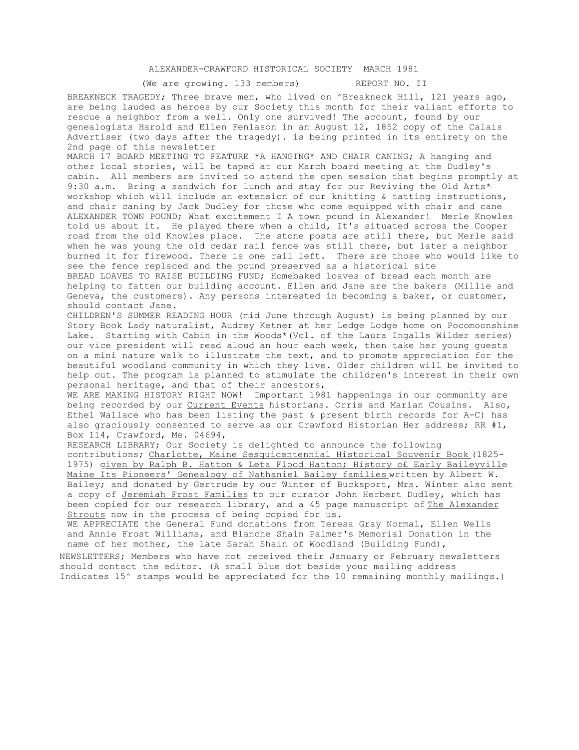## ALEXANDER-CRAWFORD HISTORICAL SOCIETY MARCH 1981

(We are growing. 133 members) REPORT NO. II

BREAKNECK TRAGEDY; Three brave men, who lived on ^Breakneck Hill, 121 years ago, are being lauded as heroes by our Society this month for their valiant efforts to rescue a neighbor from a well. Only one survived! The account, found by our genealogists Harold and Ellen Fenlason in an August 12, 1852 copy of the Calais Advertiser (two days after the tragedy). is being printed in its entirety on the 2nd page of this newsletter

MARCH 17 BOARD MEETING TO FEATURE \*A HANGING\* AND CHAIR CANING; A hanging and other local stories, will be taped at our March board meeting at the Dudley's cabin. All members are invited to attend the open session that begins promptly at 9:30 a.m. Bring a sandwich for lunch and stay for our Reviving the Old Arts\* workshop which will include an extension of our knitting & tatting instructions, and chair caning by Jack Dudley for those who come equipped with chair and cane ALEXANDER TOWN POUND; What excitement I A town pound in Alexander! Merle Knowles told us about it. He played there when a child, It's situated across the Cooper road from the old Knowles place. The stone posts are still there, but Merle said when he was young the old cedar rail fence was still there, but later a neighbor burned it for firewood. There is one rail left. There are those who would like to see the fence replaced and the pound preserved as a historical site BREAD LOAVES TO RAISE BUILDING FUND; Homebaked loaves of bread each month are

helping to fatten our building account. Ellen and Jane are the bakers (Millie and Geneva, the customers). Any persons interested in becoming a baker, or customer, should contact Jane.

CHILDREN'S SUMMER READING HOUR (mid June through August) is being planned by our Story Book Lady naturalist, Audrey Ketner at her Ledge Lodge home on Pocomoonshine Lake. Starting with Cabin in the Woods\*(Vol. of the Laura Ingalls Wilder series) our vice president will read aloud an hour each week, then take her young guests on a mini nature walk to illustrate the text, and to promote appreciation for the beautiful woodland community in which they live. Older children will be invited to help out. The program is planned to stimulate the children's interest in their own personal heritage, and that of their ancestors,

WE ARE MAKING HISTORY RIGHT NOW! Important 1981 happenings in our community are being recorded by our Current Events historians. Orris and Marian Cousins. Also, Ethel Wallace who has been listing the past & present birth records for A-C) has also graciously consented to serve as our Crawford Historian Her address; RR #1, Box 114, Crawford, Me. 04694,

RESEARCH LIBRARY; Our Society is delighted to announce the following contributions; Charlotte, Maine Sesquicentennial Historical Souvenir Book (1825- 1975) given by Ralph B. Hatton & Leta Flood Hatton; History o£ Early Baileyville Maine Its Pioneers' Genealogy of Nathaniel Bailey families written by Albert W. Bailey; and donated by Gertrude by our Winter of Bucksport, Mrs. Winter also sent a copy of Jeremiah Frost Families to our curator John Herbert Dudley, which has been copied for our research library, and a 45 page manuscript of The Alexander Strouts now in the process of being copied for us.

WE APPRECIATE the General Fund donations from Teresa Gray Normal, Ellen Wells and Annie Frost Williams, and Blanche Shain Palmer's Memorial Donation in the name of her mother, the late Sarah Shain of Woodland (Building Fund),

NEWSLETTERS; Members who have not received their January or February newsletters should contact the editor. (A small blue dot beside your mailing address Indicates 15^ stamps would be appreciated for the 10 remaining monthly mailings.)